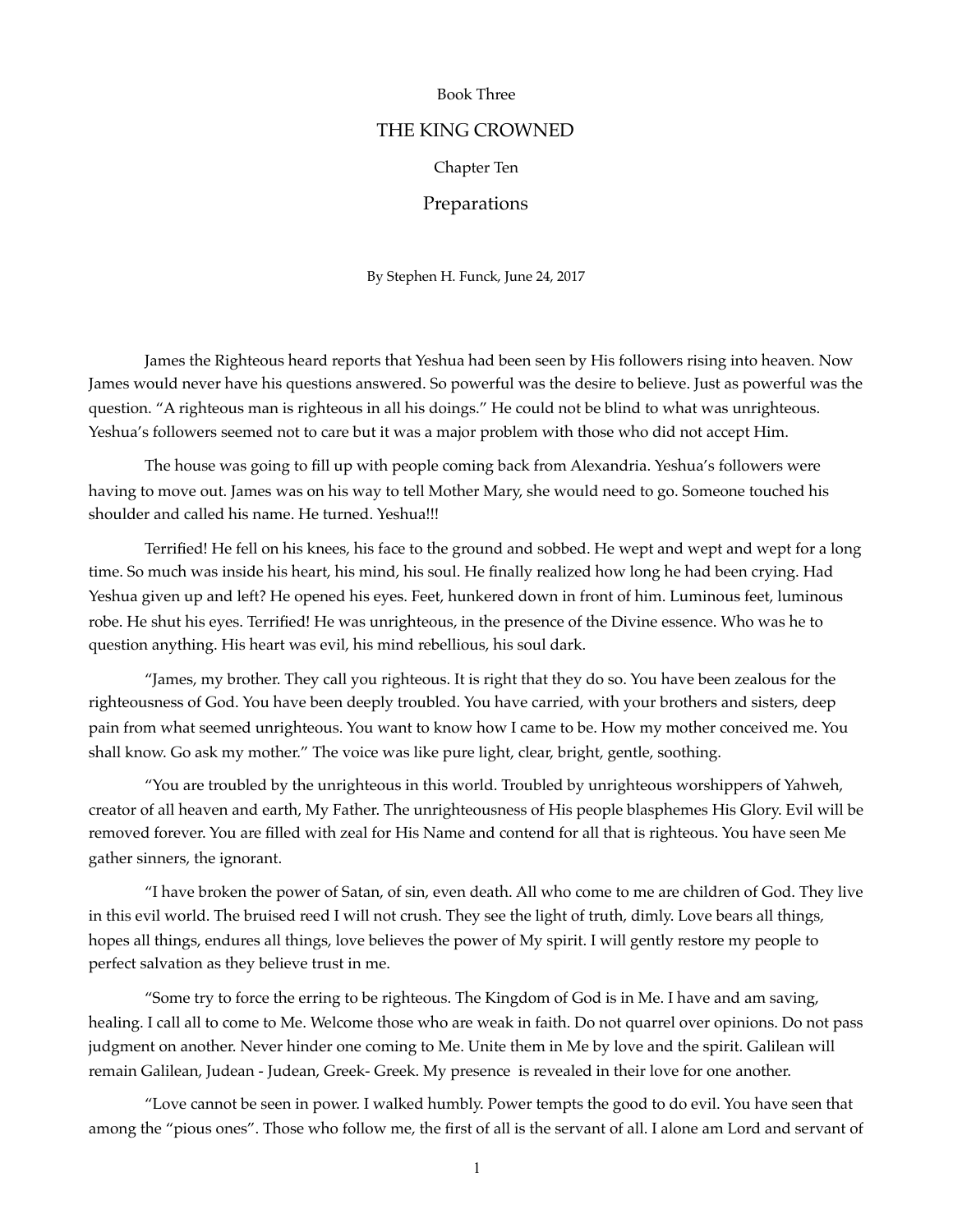#### Book Three

### THE KING CROWNED

#### Chapter Ten

### Preparations

By Stephen H. Funck, June 24, 2017

James the Righteous heard reports that Yeshua had been seen by His followers rising into heaven. Now James would never have his questions answered. So powerful was the desire to believe. Just as powerful was the question. "A righteous man is righteous in all his doings." He could not be blind to what was unrighteous. Yeshua's followers seemed not to care but it was a major problem with those who did not accept Him.

The house was going to fill up with people coming back from Alexandria. Yeshua's followers were having to move out. James was on his way to tell Mother Mary, she would need to go. Someone touched his shoulder and called his name. He turned. Yeshua!!!

Terrified! He fell on his knees, his face to the ground and sobbed. He wept and wept and wept for a long time. So much was inside his heart, his mind, his soul. He finally realized how long he had been crying. Had Yeshua given up and left? He opened his eyes. Feet, hunkered down in front of him. Luminous feet, luminous robe. He shut his eyes. Terrified! He was unrighteous, in the presence of the Divine essence. Who was he to question anything. His heart was evil, his mind rebellious, his soul dark.

"James, my brother. They call you righteous. It is right that they do so. You have been zealous for the righteousness of God. You have been deeply troubled. You have carried, with your brothers and sisters, deep pain from what seemed unrighteous. You want to know how I came to be. How my mother conceived me. You shall know. Go ask my mother." The voice was like pure light, clear, bright, gentle, soothing.

"You are troubled by the unrighteous in this world. Troubled by unrighteous worshippers of Yahweh, creator of all heaven and earth, My Father. The unrighteousness of His people blasphemes His Glory. Evil will be removed forever. You are filled with zeal for His Name and contend for all that is righteous. You have seen Me gather sinners, the ignorant.

"I have broken the power of Satan, of sin, even death. All who come to me are children of God. They live in this evil world. The bruised reed I will not crush. They see the light of truth, dimly. Love bears all things, hopes all things, endures all things, love believes the power of My spirit. I will gently restore my people to perfect salvation as they believe trust in me.

"Some try to force the erring to be righteous. The Kingdom of God is in Me. I have and am saving, healing. I call all to come to Me. Welcome those who are weak in faith. Do not quarrel over opinions. Do not pass judgment on another. Never hinder one coming to Me. Unite them in Me by love and the spirit. Galilean will remain Galilean, Judean - Judean, Greek- Greek. My presence is revealed in their love for one another.

"Love cannot be seen in power. I walked humbly. Power tempts the good to do evil. You have seen that among the "pious ones". Those who follow me, the first of all is the servant of all. I alone am Lord and servant of

1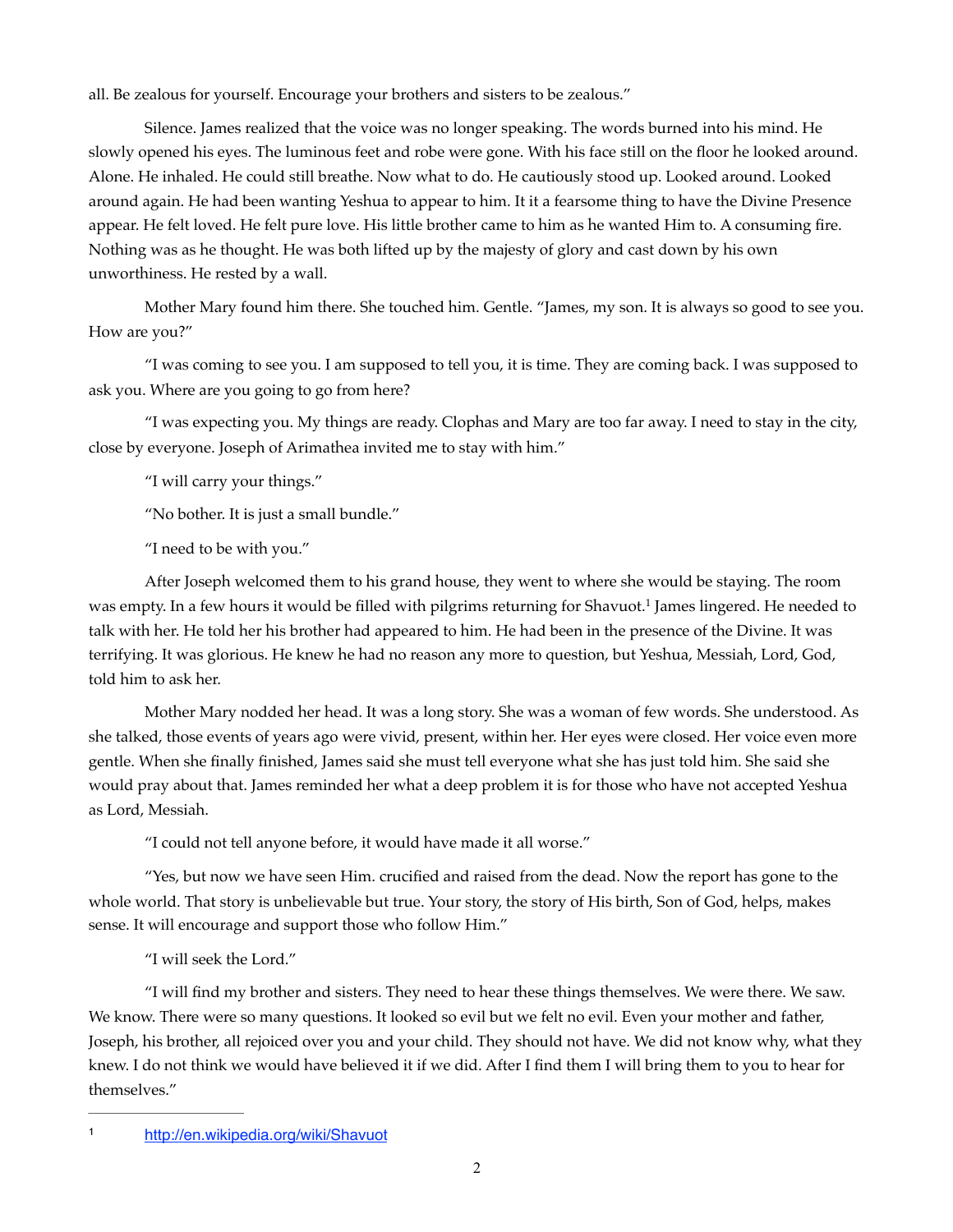all. Be zealous for yourself. Encourage your brothers and sisters to be zealous."

Silence. James realized that the voice was no longer speaking. The words burned into his mind. He slowly opened his eyes. The luminous feet and robe were gone. With his face still on the floor he looked around. Alone. He inhaled. He could still breathe. Now what to do. He cautiously stood up. Looked around. Looked around again. He had been wanting Yeshua to appear to him. It it a fearsome thing to have the Divine Presence appear. He felt loved. He felt pure love. His little brother came to him as he wanted Him to. A consuming fire. Nothing was as he thought. He was both lifted up by the majesty of glory and cast down by his own unworthiness. He rested by a wall.

Mother Mary found him there. She touched him. Gentle. "James, my son. It is always so good to see you. How are you?"

"I was coming to see you. I am supposed to tell you, it is time. They are coming back. I was supposed to ask you. Where are you going to go from here?

"I was expecting you. My things are ready. Clophas and Mary are too far away. I need to stay in the city, close by everyone. Joseph of Arimathea invited me to stay with him."

"I will carry your things."

"No bother. It is just a small bundle."

<span id="page-1-1"></span>"I need to be with you."

After Joseph welcomed them to his grand house, they went to where she would be staying. The room was empty. In a few hours it would be filled with pilgrims returning for [Shavuot](http://en.wikipedia.org/wiki/Shavuot).<sup>[1](#page-1-0)</sup> James lingered. He needed to talk with her. He told her his brother had appeared to him. He had been in the presence of the Divine. It was terrifying. It was glorious. He knew he had no reason any more to question, but Yeshua, Messiah, Lord, God, told him to ask her.

Mother Mary nodded her head. It was a long story. She was a woman of few words. She understood. As she talked, those events of years ago were vivid, present, within her. Her eyes were closed. Her voice even more gentle. When she finally finished, James said she must tell everyone what she has just told him. She said she would pray about that. James reminded her what a deep problem it is for those who have not accepted Yeshua as Lord, Messiah.

"I could not tell anyone before, it would have made it all worse."

"Yes, but now we have seen Him. crucified and raised from the dead. Now the report has gone to the whole world. That story is unbelievable but true. Your story, the story of His birth, Son of God, helps, makes sense. It will encourage and support those who follow Him."

"I will seek the Lord."

"I will find my brother and sisters. They need to hear these things themselves. We were there. We saw. We know. There were so many questions. It looked so evil but we felt no evil. Even your mother and father, Joseph, his brother, all rejoiced over you and your child. They should not have. We did not know why, what they knew. I do not think we would have believed it if we did. After I find them I will bring them to you to hear for themselves."

<span id="page-1-0"></span><http://en.wikipedia.org/wiki/Shavuot> [1](#page-1-1)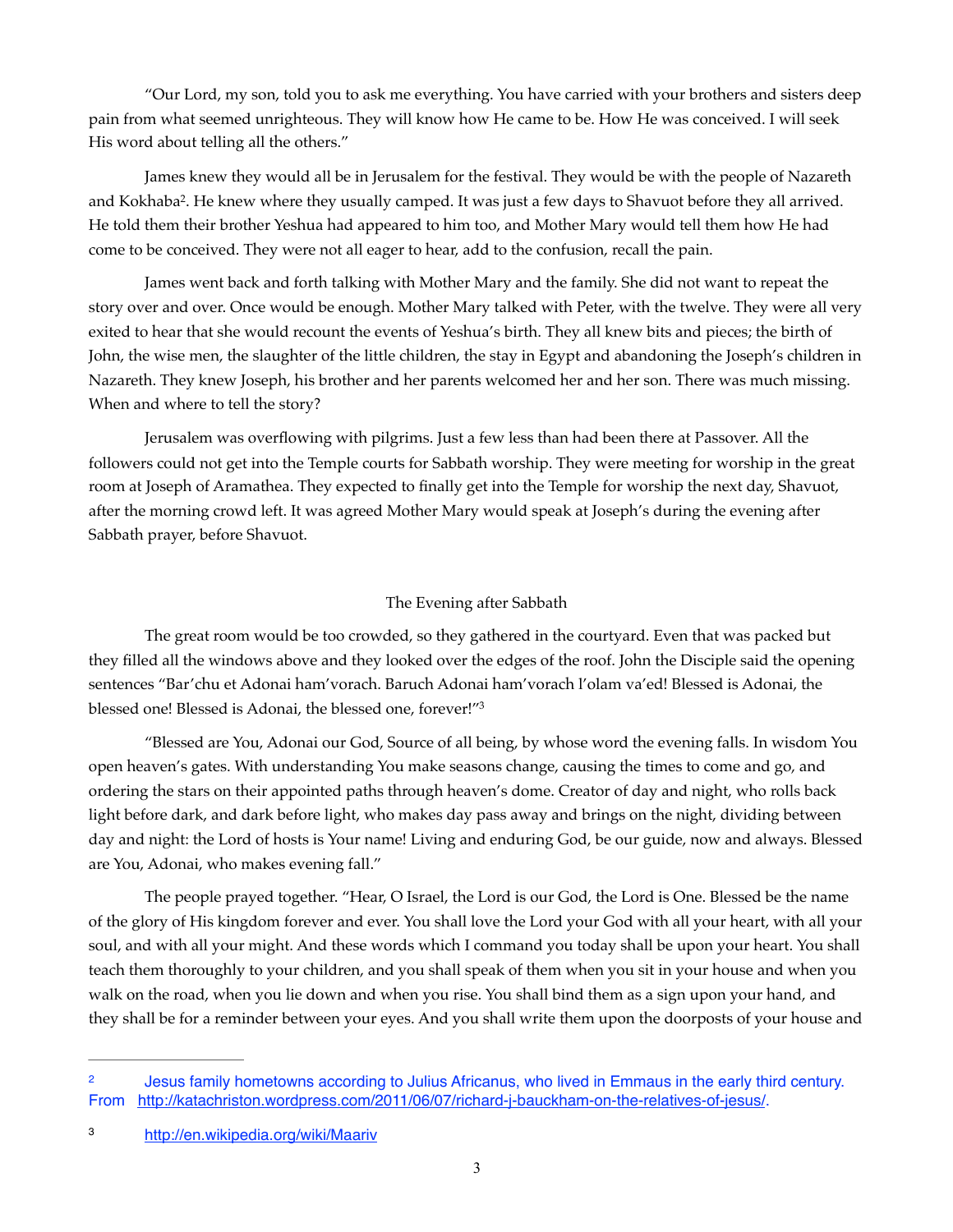"Our Lord, my son, told you to ask me everything. You have carried with your brothers and sisters deep pain from what seemed unrighteous. They will know how He came to be. How He was conceived. I will seek His word about telling all the others."

<span id="page-2-2"></span>James knew they would all be in Jerusalem for the festival. They would be with the people of Nazareth and Kokhaba<sup>[2](#page-2-0)</sup>. He knew where they usually camped. It was just a few days to Shavuot before they all arrived. He told them their brother Yeshua had appeared to him too, and Mother Mary would tell them how He had come to be conceived. They were not all eager to hear, add to the confusion, recall the pain.

James went back and forth talking with Mother Mary and the family. She did not want to repeat the story over and over. Once would be enough. Mother Mary talked with Peter, with the twelve. They were all very exited to hear that she would recount the events of Yeshua's birth. They all knew bits and pieces; the birth of John, the wise men, the slaughter of the little children, the stay in Egypt and abandoning the Joseph's children in Nazareth. They knew Joseph, his brother and her parents welcomed her and her son. There was much missing. When and where to tell the story?

Jerusalem was overflowing with pilgrims. Just a few less than had been there at Passover. All the followers could not get into the Temple courts for Sabbath worship. They were meeting for worship in the great room at Joseph of Aramathea. They expected to finally get into the Temple for worship the next day, Shavuot, after the morning crowd left. It was agreed Mother Mary would speak at Joseph's during the evening after Sabbath prayer, before Shavuot.

#### <span id="page-2-3"></span>The Evening after Sabbath

The great room would be too crowded, so they gathered in the courtyard. Even that was packed but they filled all the windows above and they looked over the edges of the roof. John the Disciple said the opening sentences "Bar'chu et Adonai ham'vorach. Baruch Adonai ham'vorach l'olam va'ed! Blessed is Adonai, the blessed one! Blessed is Adonai, the blessed one, forever!["3](#page-2-1)

"Blessed are You, Adonai our God, Source of all being, by whose word the evening falls. In wisdom You open heaven's gates. With understanding You make seasons change, causing the times to come and go, and ordering the stars on their appointed paths through heaven's dome. Creator of day and night, who rolls back light before dark, and dark before light, who makes day pass away and brings on the night, dividing between day and night: the Lord of hosts is Your name! Living and enduring God, be our guide, now and always. Blessed are You, Adonai, who makes evening fall."

The people prayed together. "Hear, O Israel, the Lord is our God, the Lord is One. Blessed be the name of the glory of His kingdom forever and ever. You shall love the Lord your God with all your heart, with all your soul, and with all your might. And these words which I command you today shall be upon your heart. You shall teach them thoroughly to your children, and you shall speak of them when you sit in your house and when you walk on the road, when you lie down and when you rise. You shall bind them as a sign upon your hand, and they shall be for a reminder between your eyes. And you shall write them upon the doorposts of your house and

<span id="page-2-0"></span><sup>&</sup>lt;sup>[2](#page-2-2)</sup> Jesus family hometowns according to Julius Africanus, who lived in Emmaus in the early third century. From <http://katachriston.wordpress.com/2011/06/07/richard-j-bauckham-on-the-relatives-of-jesus/>.

<span id="page-2-1"></span><http://en.wikipedia.org/wiki/Maariv> [3](#page-2-3)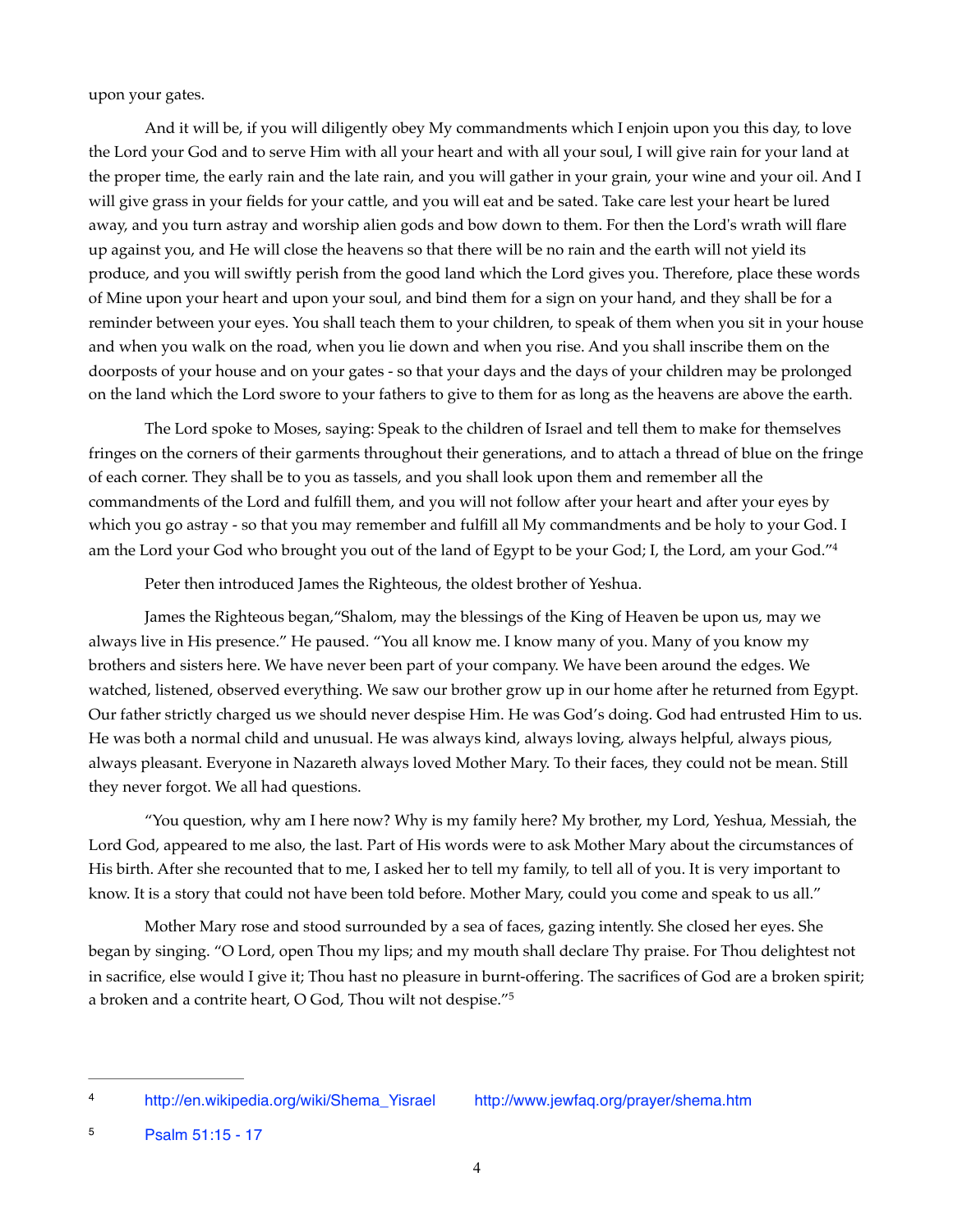upon your gates.

And it will be, if you will diligently obey My commandments which I enjoin upon you this day, to love the Lord your God and to serve Him with all your heart and with all your soul, I will give rain for your land at the proper time, the early rain and the late rain, and you will gather in your grain, your wine and your oil. And I will give grass in your fields for your cattle, and you will eat and be sated. Take care lest your heart be lured away, and you turn astray and worship alien gods and bow down to them. For then the Lord's wrath will flare up against you, and He will close the heavens so that there will be no rain and the earth will not yield its produce, and you will swiftly perish from the good land which the Lord gives you. Therefore, place these words of Mine upon your heart and upon your soul, and bind them for a sign on your hand, and they shall be for a reminder between your eyes. You shall teach them to your children, to speak of them when you sit in your house and when you walk on the road, when you lie down and when you rise. And you shall inscribe them on the doorposts of your house and on your gates - so that your days and the days of your children may be prolonged on the land which the Lord swore to your fathers to give to them for as long as the heavens are above the earth.

The Lord spoke to Moses, saying: Speak to the children of Israel and tell them to make for themselves fringes on the corners of their garments throughout their generations, and to attach a thread of blue on the fringe of each corner. They shall be to you as tassels, and you shall look upon them and remember all the commandments of the Lord and fulfill them, and you will not follow after your heart and after your eyes by which you go astray - so that you may remember and fulfill all My commandments and be holy to your God. I am the Lord your God who brought you out of the land of Egypt to be your God; I, the Lord, am your God."<sup>4</sup>

<span id="page-3-2"></span>Peter then introduced James the Righteous, the oldest brother of Yeshua.

James the Righteous began,"Shalom, may the blessings of the King of Heaven be upon us, may we always live in His presence." He paused. "You all know me. I know many of you. Many of you know my brothers and sisters here. We have never been part of your company. We have been around the edges. We watched, listened, observed everything. We saw our brother grow up in our home after he returned from Egypt. Our father strictly charged us we should never despise Him. He was God's doing. God had entrusted Him to us. He was both a normal child and unusual. He was always kind, always loving, always helpful, always pious, always pleasant. Everyone in Nazareth always loved Mother Mary. To their faces, they could not be mean. Still they never forgot. We all had questions.

"You question, why am I here now? Why is my family here? My brother, my Lord, Yeshua, Messiah, the Lord God, appeared to me also, the last. Part of His words were to ask Mother Mary about the circumstances of His birth. After she recounted that to me, I asked her to tell my family, to tell all of you. It is very important to know. It is a story that could not have been told before. Mother Mary, could you come and speak to us all."

<span id="page-3-3"></span>Mother Mary rose and stood surrounded by a sea of faces, gazing intently. She closed her eyes. She began by singing. "O Lord, open Thou my lips; and my mouth shall declare Thy praise. For Thou delightest not in sacrifice, else would I give it; Thou hast no pleasure in burnt-offering. The sacrifices of God are a broken spirit; a broken and a contrite heart, O God, Thou wilt not despise.["5](#page-3-1)

<span id="page-3-1"></span>

<span id="page-3-0"></span>[http://en.wikipedia.org/wiki/Shema\\_Yisrael](http://en.wikipedia.org/wiki/Shema_Yisrael) <http://www.jewfaq.org/prayer/shema.htm> [4](#page-3-2)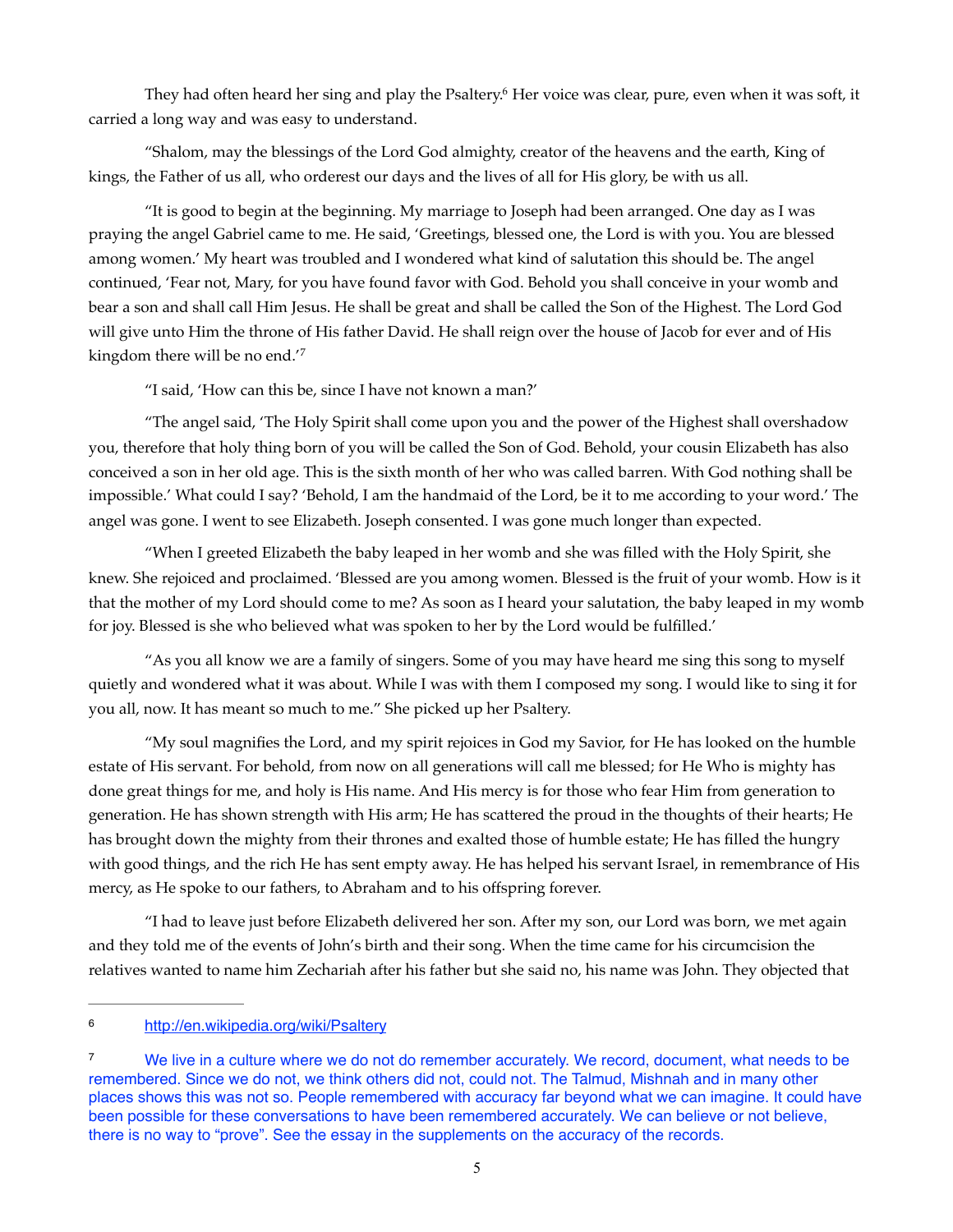<span id="page-4-2"></span>They had often heard her sing and play the Psaltery[.](#page-4-0)<sup>[6](#page-4-0)</sup> Her voice was clear, pure, even when it was soft, it carried a long way and was easy to understand.

"Shalom, may the blessings of the Lord God almighty, creator of the heavens and the earth, King of kings, the Father of us all, who orderest our days and the lives of all for His glory, be with us all.

"It is good to begin at the beginning. My marriage to Joseph had been arranged. One day as I was praying the angel Gabriel came to me. He said, 'Greetings, blessed one, the Lord is with you. You are blessed among women.' My heart was troubled and I wondered what kind of salutation this should be. The angel continued, 'Fear not, Mary, for you have found favor with God. Behold you shall conceive in your womb and bear a son and shall call Him Jesus. He shall be great and shall be called the Son of the Highest. The Lord God will give unto Him the throne of His father David. He shall reign over the house of Jacob for ever and of His kingdom there will be no end.'[7](#page-4-1)

<span id="page-4-3"></span>"I said, 'How can this be, since I have not known a man?'

"The angel said, 'The Holy Spirit shall come upon you and the power of the Highest shall overshadow you, therefore that holy thing born of you will be called the Son of God. Behold, your cousin Elizabeth has also conceived a son in her old age. This is the sixth month of her who was called barren. With God nothing shall be impossible.' What could I say? 'Behold, I am the handmaid of the Lord, be it to me according to your word.' The angel was gone. I went to see Elizabeth. Joseph consented. I was gone much longer than expected.

"When I greeted Elizabeth the baby leaped in her womb and she was filled with the Holy Spirit, she knew. She rejoiced and proclaimed. 'Blessed are you among women. Blessed is the fruit of your womb. How is it that the mother of my Lord should come to me? As soon as I heard your salutation, the baby leaped in my womb for joy. Blessed is she who believed what was spoken to her by the Lord would be fulfilled.'

"As you all know we are a family of singers. Some of you may have heard me sing this song to myself quietly and wondered what it was about. While I was with them I composed my song. I would like to sing it for you all, now. It has meant so much to me." She picked up her Psaltery.

"My soul magnifies the Lord, and my spirit rejoices in God my Savior, for He has looked on the humble estate of His servant. For behold, from now on all generations will call me blessed; for He Who is mighty has done great things for me, and holy is His name. And His mercy is for those who fear Him from generation to generation. He has shown strength with His arm; He has scattered the proud in the thoughts of their hearts; He has brought down the mighty from their thrones and exalted those of humble estate; He has filled the hungry with good things, and the rich He has sent empty away. He has helped his servant Israel, in remembrance of His mercy, as He spoke to our fathers, to Abraham and to his offspring forever.

"I had to leave just before Elizabeth delivered her son. After my son, our Lord was born, we met again and they told me of the events of John's birth and their song. When the time came for his circumcision the relatives wanted to name him Zechariah after his father but she said no, his name was John. They objected that

<span id="page-4-0"></span><http://en.wikipedia.org/wiki/Psaltery> [6](#page-4-2)

<span id="page-4-1"></span>We live in a culture where we do not do remember accurately. We record, document, what needs to be remembered. Since we do not, we think others did not, could not. The Talmud, Mishnah and in many other places shows this was not so. People remembered with accuracy far beyond what we can imagine. It could have been possible for these conversations to have been remembered accurately. We can believe or not believe, there is no way to "prove". See the essay in the supplements on the accuracy of the records.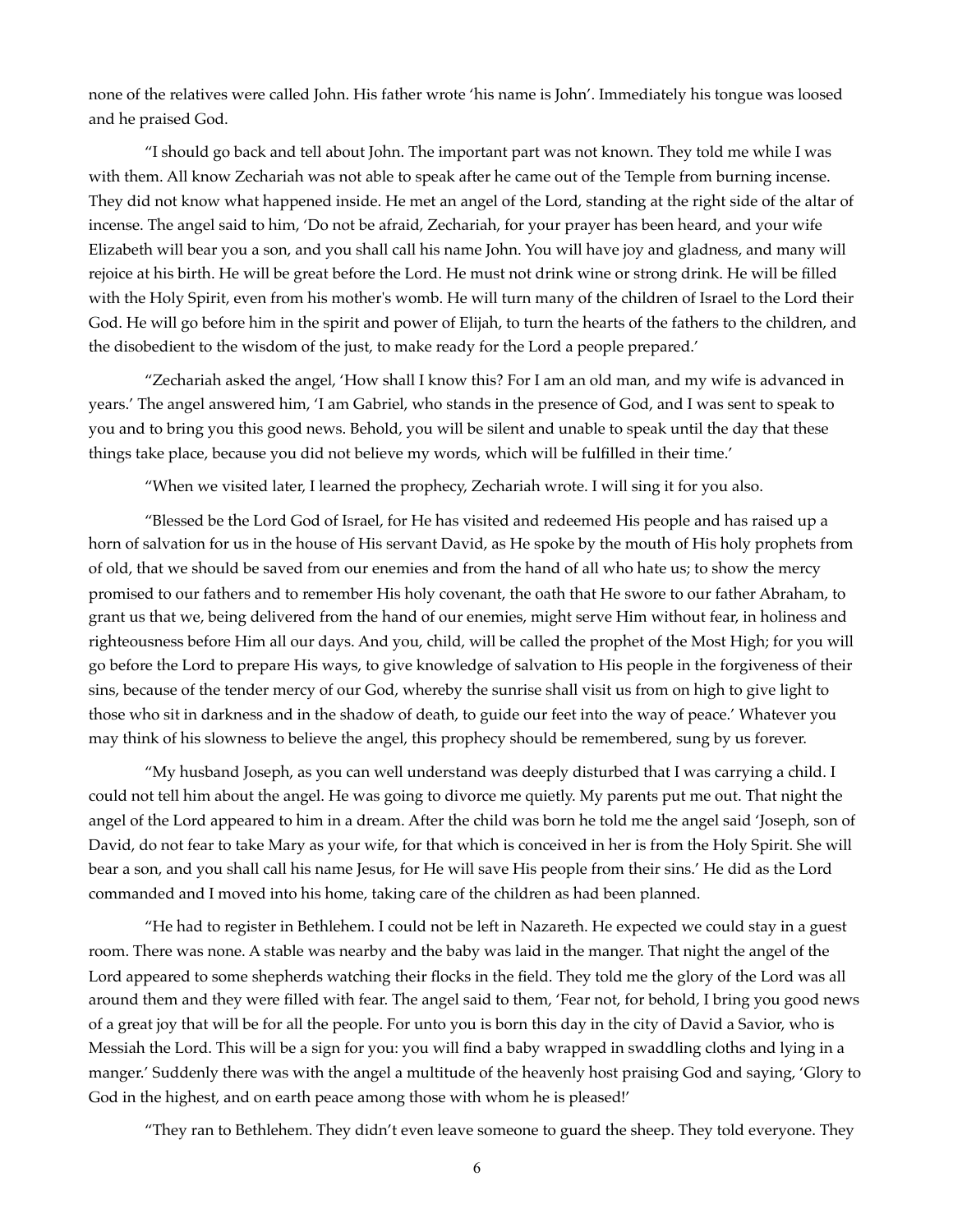none of the relatives were called John. His father wrote 'his name is John'. Immediately his tongue was loosed and he praised God.

"I should go back and tell about John. The important part was not known. They told me while I was with them. All know Zechariah was not able to speak after he came out of the Temple from burning incense. They did not know what happened inside. He met an angel of the Lord, standing at the right side of the altar of incense. The angel said to him, 'Do not be afraid, Zechariah, for your prayer has been heard, and your wife Elizabeth will bear you a son, and you shall call his name John. You will have joy and gladness, and many will rejoice at his birth. He will be great before the Lord. He must not drink wine or strong drink. He will be filled with the Holy Spirit, even from his mother's womb. He will turn many of the children of Israel to the Lord their God. He will go before him in the spirit and power of Elijah, to turn the hearts of the fathers to the children, and the disobedient to the wisdom of the just, to make ready for the Lord a people prepared.'

"Zechariah asked the angel, 'How shall I know this? For I am an old man, and my wife is advanced in years.' The angel answered him, 'I am Gabriel, who stands in the presence of God, and I was sent to speak to you and to bring you this good news. Behold, you will be silent and unable to speak until the day that these things take place, because you did not believe my words, which will be fulfilled in their time.'

"When we visited later, I learned the prophecy, Zechariah wrote. I will sing it for you also.

"Blessed be the Lord God of Israel, for He has visited and redeemed His people and has raised up a horn of salvation for us in the house of His servant David, as He spoke by the mouth of His holy prophets from of old, that we should be saved from our enemies and from the hand of all who hate us; to show the mercy promised to our fathers and to remember His holy covenant, the oath that He swore to our father Abraham, to grant us that we, being delivered from the hand of our enemies, might serve Him without fear, in holiness and righteousness before Him all our days. And you, child, will be called the prophet of the Most High; for you will go before the Lord to prepare His ways, to give knowledge of salvation to His people in the forgiveness of their sins, because of the tender mercy of our God, whereby the sunrise shall visit us from on high to give light to those who sit in darkness and in the shadow of death, to guide our feet into the way of peace.' Whatever you may think of his slowness to believe the angel, this prophecy should be remembered, sung by us forever.

"My husband Joseph, as you can well understand was deeply disturbed that I was carrying a child. I could not tell him about the angel. He was going to divorce me quietly. My parents put me out. That night the angel of the Lord appeared to him in a dream. After the child was born he told me the angel said 'Joseph, son of David, do not fear to take Mary as your wife, for that which is conceived in her is from the Holy Spirit. She will bear a son, and you shall call his name Jesus, for He will save His people from their sins.' He did as the Lord commanded and I moved into his home, taking care of the children as had been planned.

"He had to register in Bethlehem. I could not be left in Nazareth. He expected we could stay in a guest room. There was none. A stable was nearby and the baby was laid in the manger. That night the angel of the Lord appeared to some shepherds watching their flocks in the field. They told me the glory of the Lord was all around them and they were filled with fear. The angel said to them, 'Fear not, for behold, I bring you good news of a great joy that will be for all the people. For unto you is born this day in the city of David a Savior, who is Messiah the Lord. This will be a sign for you: you will find a baby wrapped in swaddling cloths and lying in a manger.' Suddenly there was with the angel a multitude of the heavenly host praising God and saying, 'Glory to God in the highest, and on earth peace among those with whom he is pleased!'

"They ran to Bethlehem. They didn't even leave someone to guard the sheep. They told everyone. They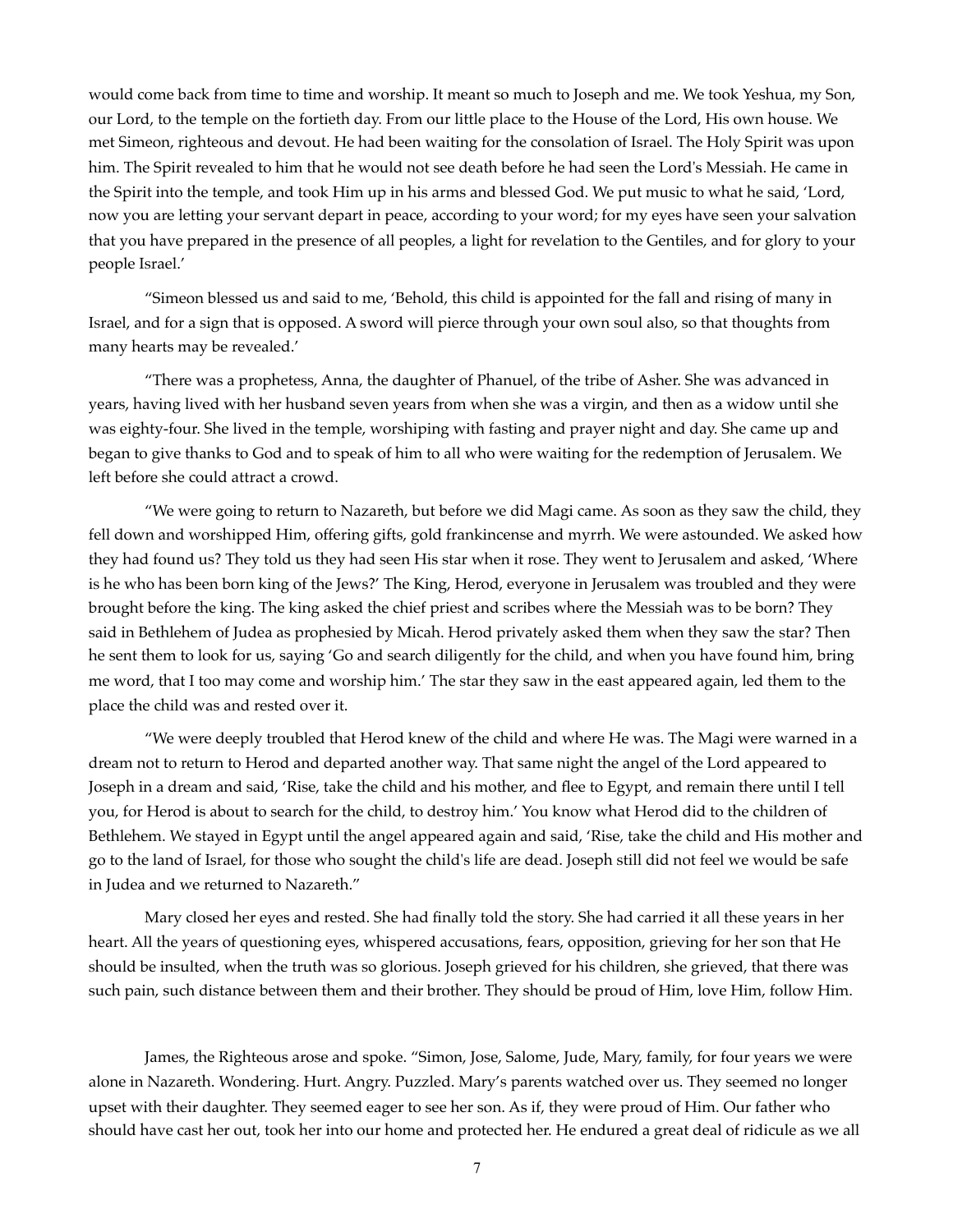would come back from time to time and worship. It meant so much to Joseph and me. We took Yeshua, my Son, our Lord, to the temple on the fortieth day. From our little place to the House of the Lord, His own house. We met Simeon, righteous and devout. He had been waiting for the consolation of Israel. The Holy Spirit was upon him. The Spirit revealed to him that he would not see death before he had seen the Lord's Messiah. He came in the Spirit into the temple, and took Him up in his arms and blessed God. We put music to what he said, 'Lord, now you are letting your servant depart in peace, according to your word; for my eyes have seen your salvation that you have prepared in the presence of all peoples, a light for revelation to the Gentiles, and for glory to your people Israel.'

"Simeon blessed us and said to me, 'Behold, this child is appointed for the fall and rising of many in Israel, and for a sign that is opposed. A sword will pierce through your own soul also, so that thoughts from many hearts may be revealed.'

"There was a prophetess, Anna, the daughter of Phanuel, of the tribe of Asher. She was advanced in years, having lived with her husband seven years from when she was a virgin, and then as a widow until she was eighty-four. She lived in the temple, worshiping with fasting and prayer night and day. She came up and began to give thanks to God and to speak of him to all who were waiting for the redemption of Jerusalem. We left before she could attract a crowd.

"We were going to return to Nazareth, but before we did Magi came. As soon as they saw the child, they fell down and worshipped Him, offering gifts, gold frankincense and myrrh. We were astounded. We asked how they had found us? They told us they had seen His star when it rose. They went to Jerusalem and asked, 'Where is he who has been born king of the Jews?' The King, Herod, everyone in Jerusalem was troubled and they were brought before the king. The king asked the chief priest and scribes where the Messiah was to be born? They said in Bethlehem of Judea as prophesied by Micah. Herod privately asked them when they saw the star? Then he sent them to look for us, saying 'Go and search diligently for the child, and when you have found him, bring me word, that I too may come and worship him.' The star they saw in the east appeared again, led them to the place the child was and rested over it.

"We were deeply troubled that Herod knew of the child and where He was. The Magi were warned in a dream not to return to Herod and departed another way. That same night the angel of the Lord appeared to Joseph in a dream and said, 'Rise, take the child and his mother, and flee to Egypt, and remain there until I tell you, for Herod is about to search for the child, to destroy him.' You know what Herod did to the children of Bethlehem. We stayed in Egypt until the angel appeared again and said, 'Rise, take the child and His mother and go to the land of Israel, for those who sought the child's life are dead. Joseph still did not feel we would be safe in Judea and we returned to Nazareth."

Mary closed her eyes and rested. She had finally told the story. She had carried it all these years in her heart. All the years of questioning eyes, whispered accusations, fears, opposition, grieving for her son that He should be insulted, when the truth was so glorious. Joseph grieved for his children, she grieved, that there was such pain, such distance between them and their brother. They should be proud of Him, love Him, follow Him.

James, the Righteous arose and spoke. "Simon, Jose, Salome, Jude, Mary, family, for four years we were alone in Nazareth. Wondering. Hurt. Angry. Puzzled. Mary's parents watched over us. They seemed no longer upset with their daughter. They seemed eager to see her son. As if, they were proud of Him. Our father who should have cast her out, took her into our home and protected her. He endured a great deal of ridicule as we all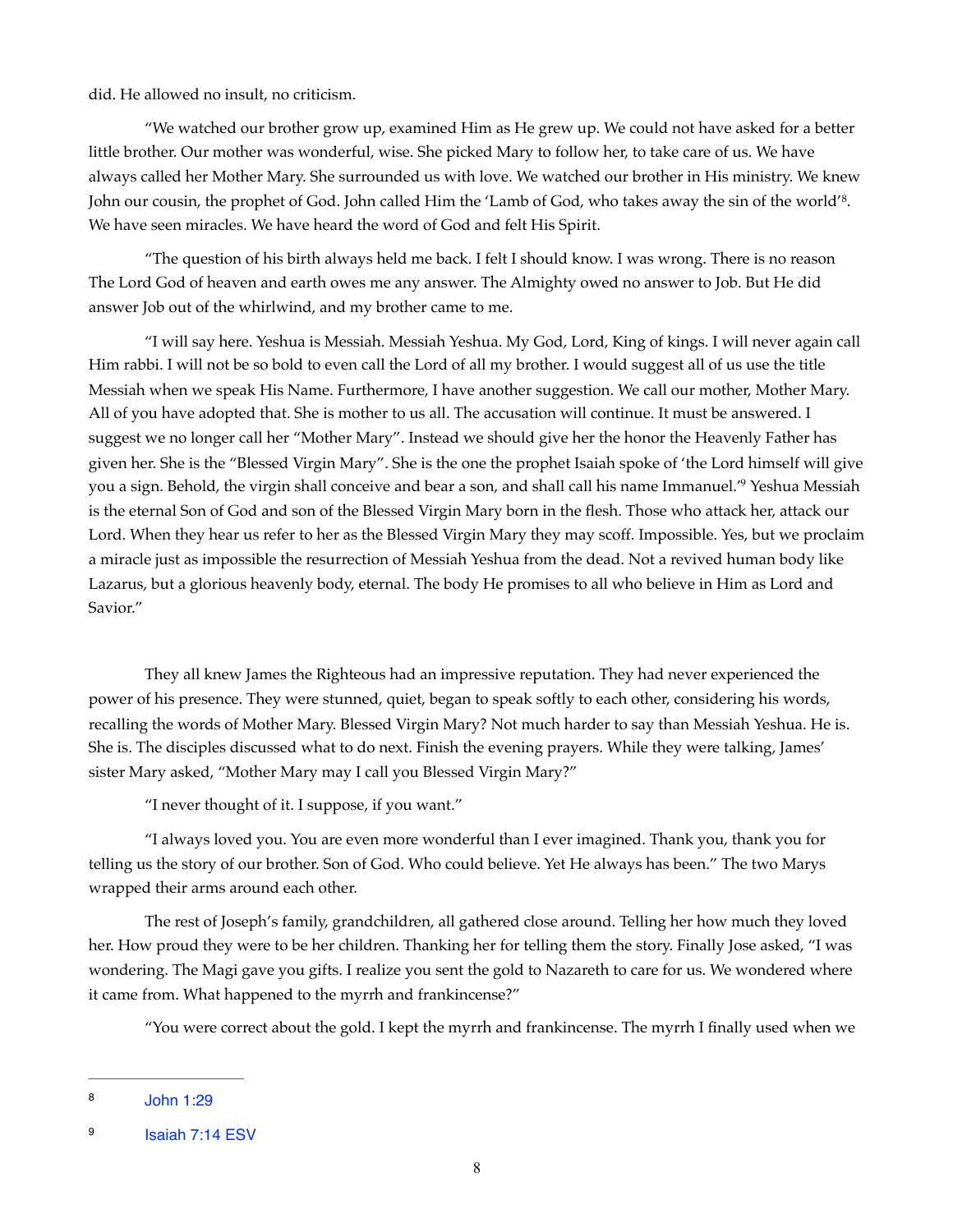did. He allowed no insult, no criticism.

"We watched our brother grow up, examined Him as He grew up. We could not have asked for a better little brother. Our mother was wonderful, wise. She picked Mary to follow her, to take care of us. We have always called her Mother Mary. She surrounded us with love. We watched our brother in His ministry. We knew John our cousin, the prophet of God. John called Him the 'Lamb of God, who takes away the sin of the world'<sup>[8](#page-7-0)</sup>. We have seen miracles. We have heard the word of God and felt His Spirit.

<span id="page-7-2"></span>"The question of his birth always held me back. I felt I should know. I was wrong. There is no reason The Lord God of heaven and earth owes me any answer. The Almighty owed no answer to Job. But He did answer Job out of the whirlwind, and my brother came to me.

<span id="page-7-3"></span>"I will say here. Yeshua is Messiah. Messiah Yeshua. My God, Lord, King of kings. I will never again call Him rabbi. I will not be so bold to even call the Lord of all my brother. I would suggest all of us use the title Messiah when we speak His Name. Furthermore, I have another suggestion. We call our mother, Mother Mary. All of you have adopted that. She is mother to us all. The accusation will continue. It must be answered. I suggest we no longer call her "Mother Mary". Instead we should give her the honor the Heavenly Father has given her. She is the "Blessed Virgin Mary". She is the one the prophet Isaiah spoke of 'the Lord himself will give you a sign. Behold, the virgin shall conceive and bear a son, and shall call his name Immanuel.<sup>'[9](#page-7-1)</sup> Yeshua Messiah is the eternal Son of God and son of the Blessed Virgin Mary born in the flesh. Those who attack her, attack our Lord. When they hear us refer to her as the Blessed Virgin Mary they may scoff. Impossible. Yes, but we proclaim a miracle just as impossible the resurrection of Messiah Yeshua from the dead. Not a revived human body like Lazarus, but a glorious heavenly body, eternal. The body He promises to all who believe in Him as Lord and Savior."

They all knew James the Righteous had an impressive reputation. They had never experienced the power of his presence. They were stunned, quiet, began to speak softly to each other, considering his words, recalling the words of Mother Mary. Blessed Virgin Mary? Not much harder to say than Messiah Yeshua. He is. She is. The disciples discussed what to do next. Finish the evening prayers. While they were talking, James' sister Mary asked, "Mother Mary may I call you Blessed Virgin Mary?"

"I never thought of it. I suppose, if you want."

"I always loved you. You are even more wonderful than I ever imagined. Thank you, thank you for telling us the story of our brother. Son of God. Who could believe. Yet He always has been." The two Marys wrapped their arms around each other.

The rest of Joseph's family, grandchildren, all gathered close around. Telling her how much they loved her. How proud they were to be her children. Thanking her for telling them the story. Finally Jose asked, "I was wondering. The Magi gave you gifts. I realize you sent the gold to Nazareth to care for us. We wondered where it came from. What happened to the myrrh and frankincense?"

"You were correct about the gold. I kept the myrrh and frankincense. The myrrh I finally used when we

<span id="page-7-0"></span>[<sup>8</sup>](#page-7-2) **John 1:29** 

<span id="page-7-1"></span><sup>&</sup>lt;sup>[9](#page-7-3)</sup> Isaiah 7:14 ESV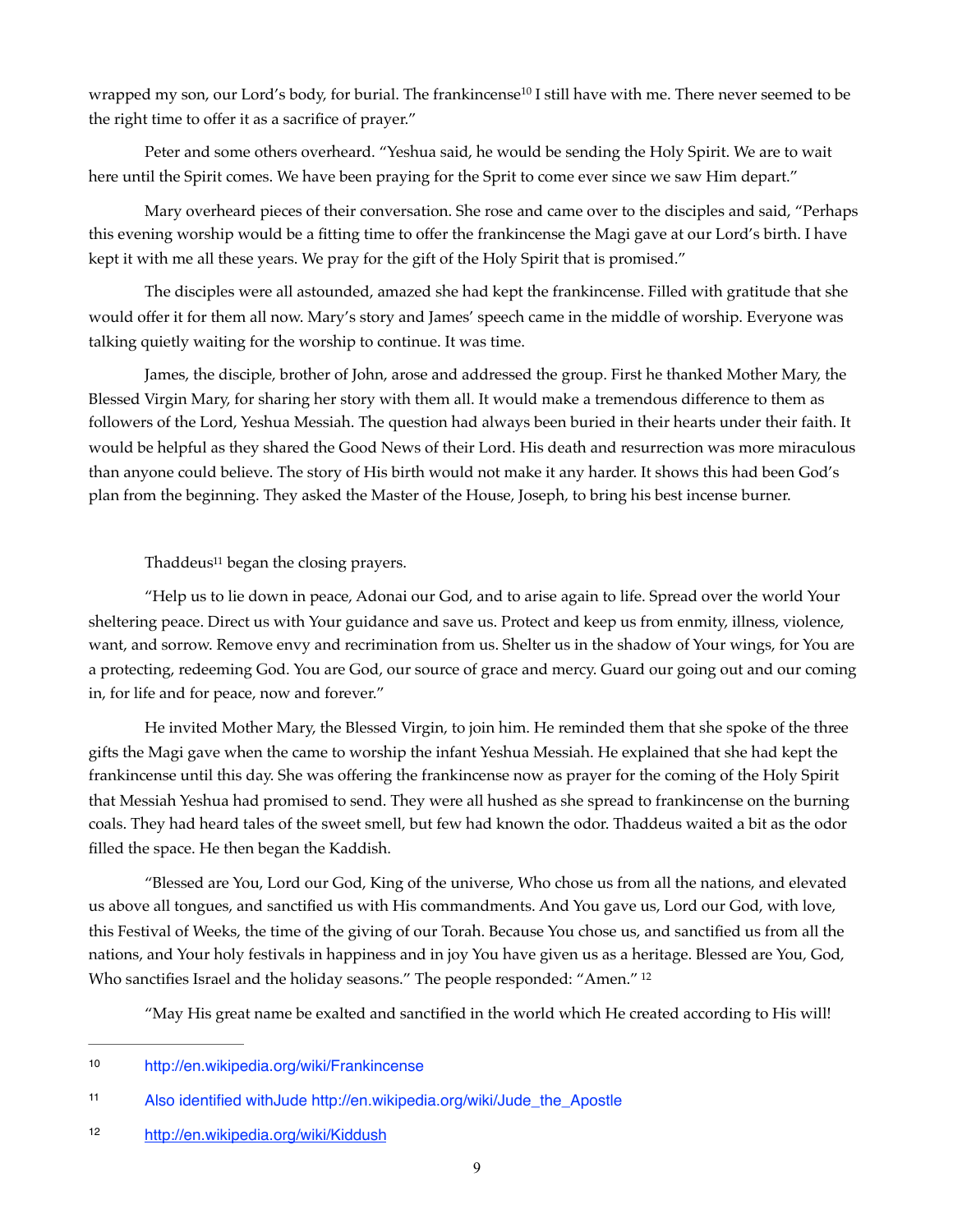<span id="page-8-3"></span>wrapped my son, our Lord's body, for burial. The frankincense<sup>[10](#page-8-0)</sup> I still have with me. There never seemed to be the right time to offer it as a sacrifice of prayer."

Peter and some others overheard. "Yeshua said, he would be sending the Holy Spirit. We are to wait here until the Spirit comes. We have been praying for the Sprit to come ever since we saw Him depart."

Mary overheard pieces of their conversation. She rose and came over to the disciples and said, "Perhaps this evening worship would be a fitting time to offer the frankincense the Magi gave at our Lord's birth. I have kept it with me all these years. We pray for the gift of the Holy Spirit that is promised."

The disciples were all astounded, amazed she had kept the frankincense. Filled with gratitude that she would offer it for them all now. Mary's story and James' speech came in the middle of worship. Everyone was talking quietly waiting for the worship to continue. It was time.

James, the disciple, brother of John, arose and addressed the group. First he thanked Mother Mary, the Blessed Virgin Mary, for sharing her story with them all. It would make a tremendous difference to them as followers of the Lord, Yeshua Messiah. The question had always been buried in their hearts under their faith. It would be helpful as they shared the Good News of their Lord. His death and resurrection was more miraculous than anyone could believe. The story of His birth would not make it any harder. It shows this had been God's plan from the beginning. They asked the Master of the House, Joseph, to bring his best incense burner.

<span id="page-8-4"></span>Thaddeu[s](#page-8-1)<sup>[11](#page-8-1)</sup> began the closing prayers.

"Help us to lie down in peace, Adonai our God, and to arise again to life. Spread over the world Your sheltering peace. Direct us with Your guidance and save us. Protect and keep us from enmity, illness, violence, want, and sorrow. Remove envy and recrimination from us. Shelter us in the shadow of Your wings, for You are a protecting, redeeming God. You are God, our source of grace and mercy. Guard our going out and our coming in, for life and for peace, now and forever."

He invited Mother Mary, the Blessed Virgin, to join him. He reminded them that she spoke of the three gifts the Magi gave when the came to worship the infant Yeshua Messiah. He explained that she had kept the frankincense until this day. She was offering the frankincense now as prayer for the coming of the Holy Spirit that Messiah Yeshua had promised to send. They were all hushed as she spread to frankincense on the burning coals. They had heard tales of the sweet smell, but few had known the odor. Thaddeus waited a bit as the odor filled the space. He then began the Kaddish.

"Blessed are You, Lord our God, King of the universe, Who chose us from all the nations, and elevated us above all tongues, and sanctified us with His commandments. And You gave us, Lord our God, with love, this Festival of Weeks, the time of the giving of our Torah. Because You chose us, and sanctified us from all the nations, and Your holy festivals in happiness and in joy You have given us as a heritage. Blessed are You, God, Who sanctifies Israel and the holiday seasons." The people responded: "Amen." <sup>12</sup>

<span id="page-8-5"></span>"May His great name be exalted and sanctified in the world which He created according to His will!

<span id="page-8-0"></span><http://en.wikipedia.org/wiki/Frankincense> [10](#page-8-3)

<span id="page-8-1"></span><sup>&</sup>lt;sup>[11](#page-8-4)</sup> Also identified withJude http://en.wikipedia.org/wiki/Jude\_the\_Apostle

<span id="page-8-2"></span><http://en.wikipedia.org/wiki/Kiddush> [12](#page-8-5)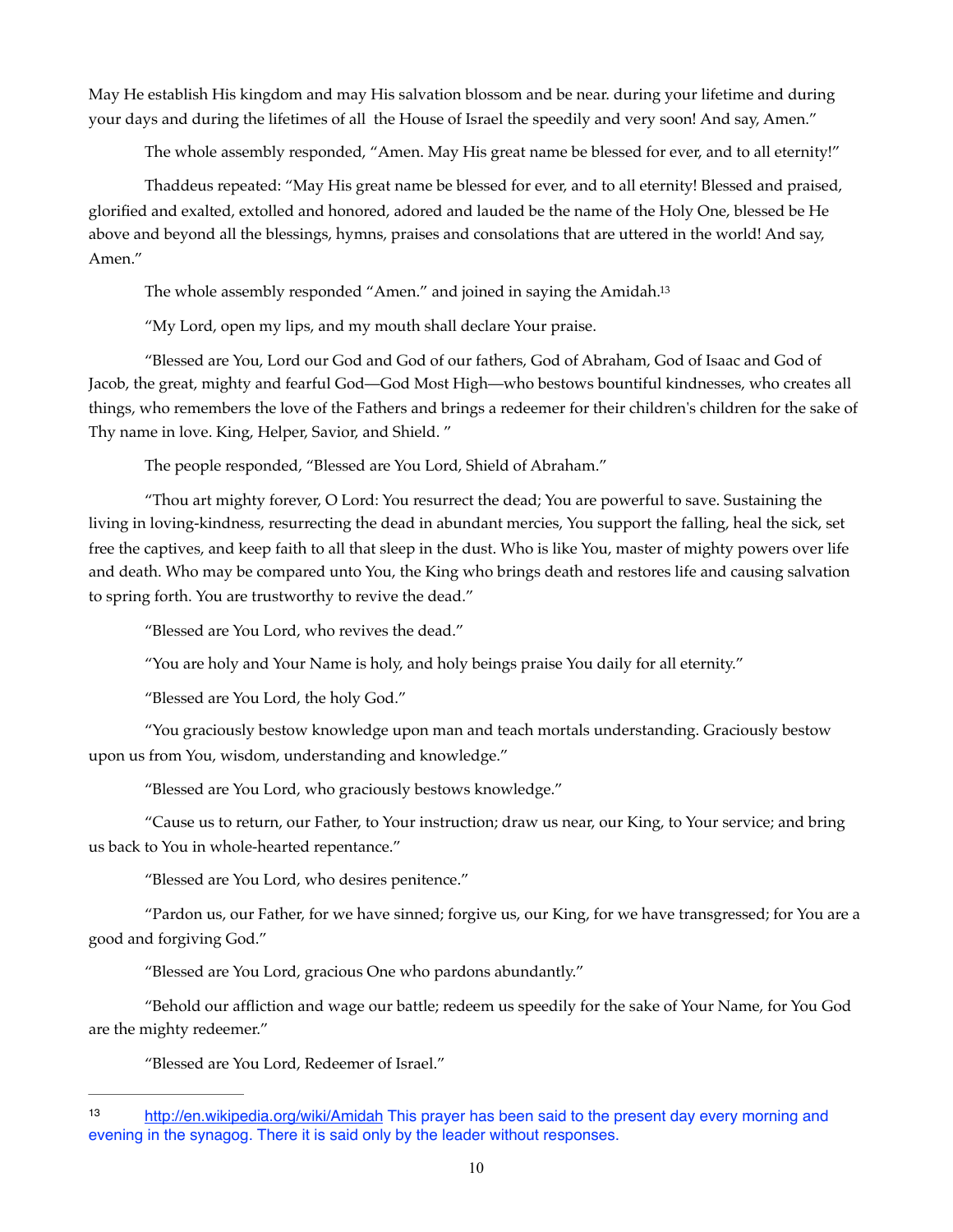May He establish His kingdom and may His salvation blossom and be near. during your lifetime and during your days and during the lifetimes of all the House of Israel the speedily and very soon! And say, Amen."

The whole assembly responded, "Amen. May His great name be blessed for ever, and to all eternity!"

Thaddeus repeated: "May His great name be blessed for ever, and to all eternity! Blessed and praised, glorified and exalted, extolled and honored, adored and lauded be the name of the Holy One, blessed be He above and beyond all the blessings, hymns, praises and consolations that are uttered in the world! And say, Amen."

<span id="page-9-1"></span>The whole assembly responded "Amen." and joined in saying the Amidah[.13](#page-9-0)

"My Lord, open my lips, and my mouth shall declare Your praise.

"Blessed are You, Lord our God and God of our fathers, God of Abraham, God of Isaac and God of Jacob, the great, mighty and fearful God—God Most High—who bestows bountiful kindnesses, who creates all things, who remembers the love of the Fathers and brings a redeemer for their children's children for the sake of Thy name in love. King, Helper, Savior, and Shield. "

The people responded, "Blessed are You Lord, Shield of Abraham."

"Thou art mighty forever, O Lord: You resurrect the dead; You are powerful to save. Sustaining the living in loving-kindness, resurrecting the dead in abundant mercies, You support the falling, heal the sick, set free the captives, and keep faith to all that sleep in the dust. Who is like You, master of mighty powers over life and death. Who may be compared unto You, the King who brings death and restores life and causing salvation to spring forth. You are trustworthy to revive the dead."

"Blessed are You Lord, who revives the dead."

"You are holy and Your Name is holy, and holy beings praise You daily for all eternity."

"Blessed are You Lord, the holy God."

"You graciously bestow knowledge upon man and teach mortals understanding. Graciously bestow upon us from You, wisdom, understanding and knowledge."

"Blessed are You Lord, who graciously bestows knowledge."

"Cause us to return, our Father, to Your instruction; draw us near, our King, to Your service; and bring us back to You in whole-hearted repentance."

"Blessed are You Lord, who desires penitence."

"Pardon us, our Father, for we have sinned; forgive us, our King, for we have transgressed; for You are a good and forgiving God."

"Blessed are You Lord, gracious One who pardons abundantly."

"Behold our affliction and wage our battle; redeem us speedily for the sake of Your Name, for You God are the mighty redeemer."

"Blessed are You Lord, Redeemer of Israel."

<span id="page-9-0"></span><http://en.wikipedia.org/wiki/Amidah> This prayer has been said to the present day every morning and evening in the synagog. There it is said only by the leader without responses.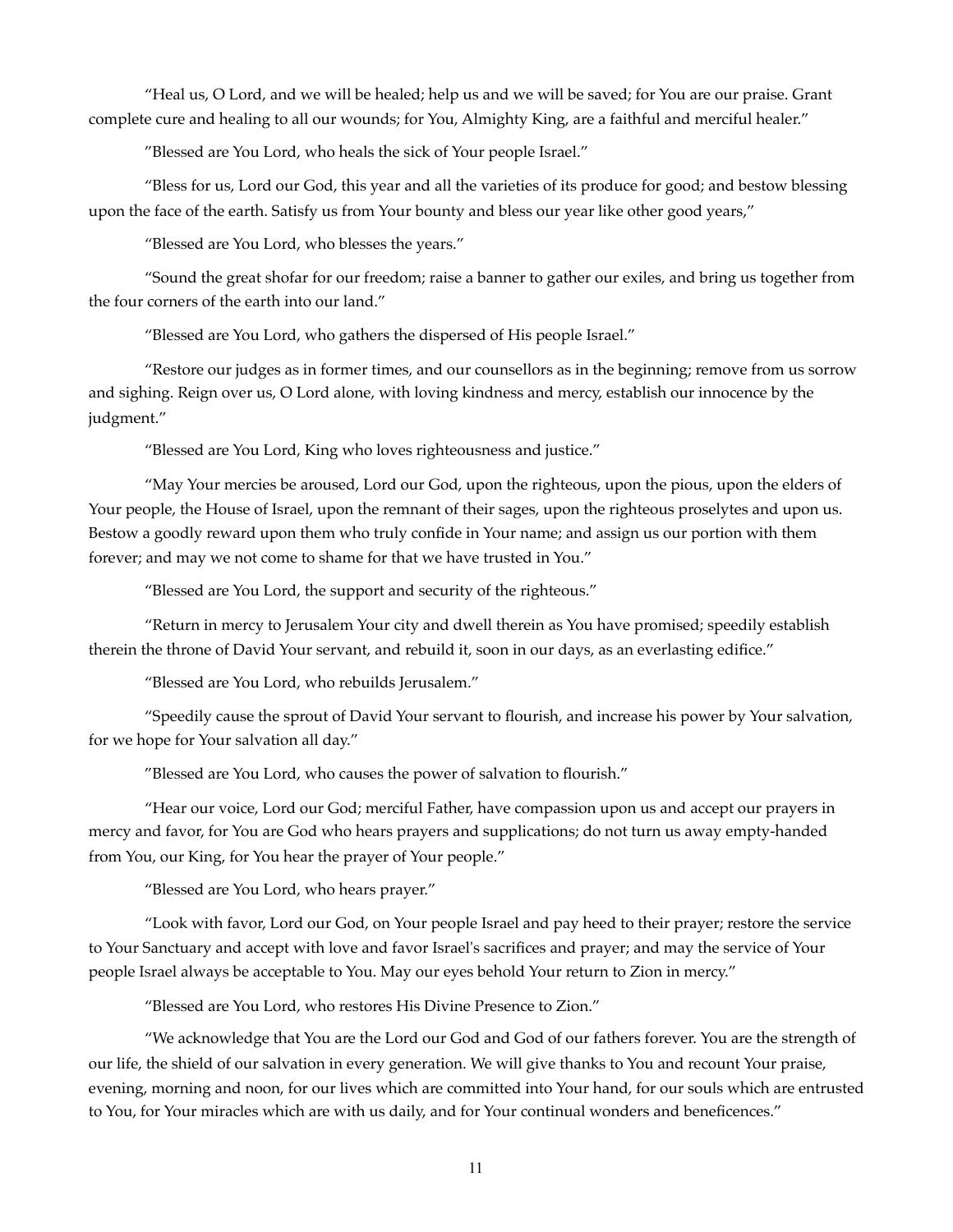"Heal us, O Lord, and we will be healed; help us and we will be saved; for You are our praise. Grant complete cure and healing to all our wounds; for You, Almighty King, are a faithful and merciful healer."

"Blessed are You Lord, who heals the sick of Your people Israel."

"Bless for us, Lord our God, this year and all the varieties of its produce for good; and bestow blessing upon the face of the earth. Satisfy us from Your bounty and bless our year like other good years,"

"Blessed are You Lord, who blesses the years."

"Sound the great shofar for our freedom; raise a banner to gather our exiles, and bring us together from the four corners of the earth into our land."

"Blessed are You Lord, who gathers the dispersed of His people Israel."

"Restore our judges as in former times, and our counsellors as in the beginning; remove from us sorrow and sighing. Reign over us, O Lord alone, with loving kindness and mercy, establish our innocence by the judgment."

"Blessed are You Lord, King who loves righteousness and justice."

"May Your mercies be aroused, Lord our God, upon the righteous, upon the pious, upon the elders of Your people, the House of Israel, upon the remnant of their sages, upon the righteous proselytes and upon us. Bestow a goodly reward upon them who truly confide in Your name; and assign us our portion with them forever; and may we not come to shame for that we have trusted in You."

"Blessed are You Lord, the support and security of the righteous."

"Return in mercy to Jerusalem Your city and dwell therein as You have promised; speedily establish therein the throne of David Your servant, and rebuild it, soon in our days, as an everlasting edifice."

"Blessed are You Lord, who rebuilds Jerusalem."

"Speedily cause the sprout of David Your servant to flourish, and increase his power by Your salvation, for we hope for Your salvation all day."

"Blessed are You Lord, who causes the power of salvation to flourish."

"Hear our voice, Lord our God; merciful Father, have compassion upon us and accept our prayers in mercy and favor, for You are God who hears prayers and supplications; do not turn us away empty-handed from You, our King, for You hear the prayer of Your people."

"Blessed are You Lord, who hears prayer."

"Look with favor, Lord our God, on Your people Israel and pay heed to their prayer; restore the service to Your Sanctuary and accept with love and favor Israel's sacrifices and prayer; and may the service of Your people Israel always be acceptable to You. May our eyes behold Your return to Zion in mercy."

"Blessed are You Lord, who restores His Divine Presence to Zion."

"We acknowledge that You are the Lord our God and God of our fathers forever. You are the strength of our life, the shield of our salvation in every generation. We will give thanks to You and recount Your praise, evening, morning and noon, for our lives which are committed into Your hand, for our souls which are entrusted to You, for Your miracles which are with us daily, and for Your continual wonders and beneficences."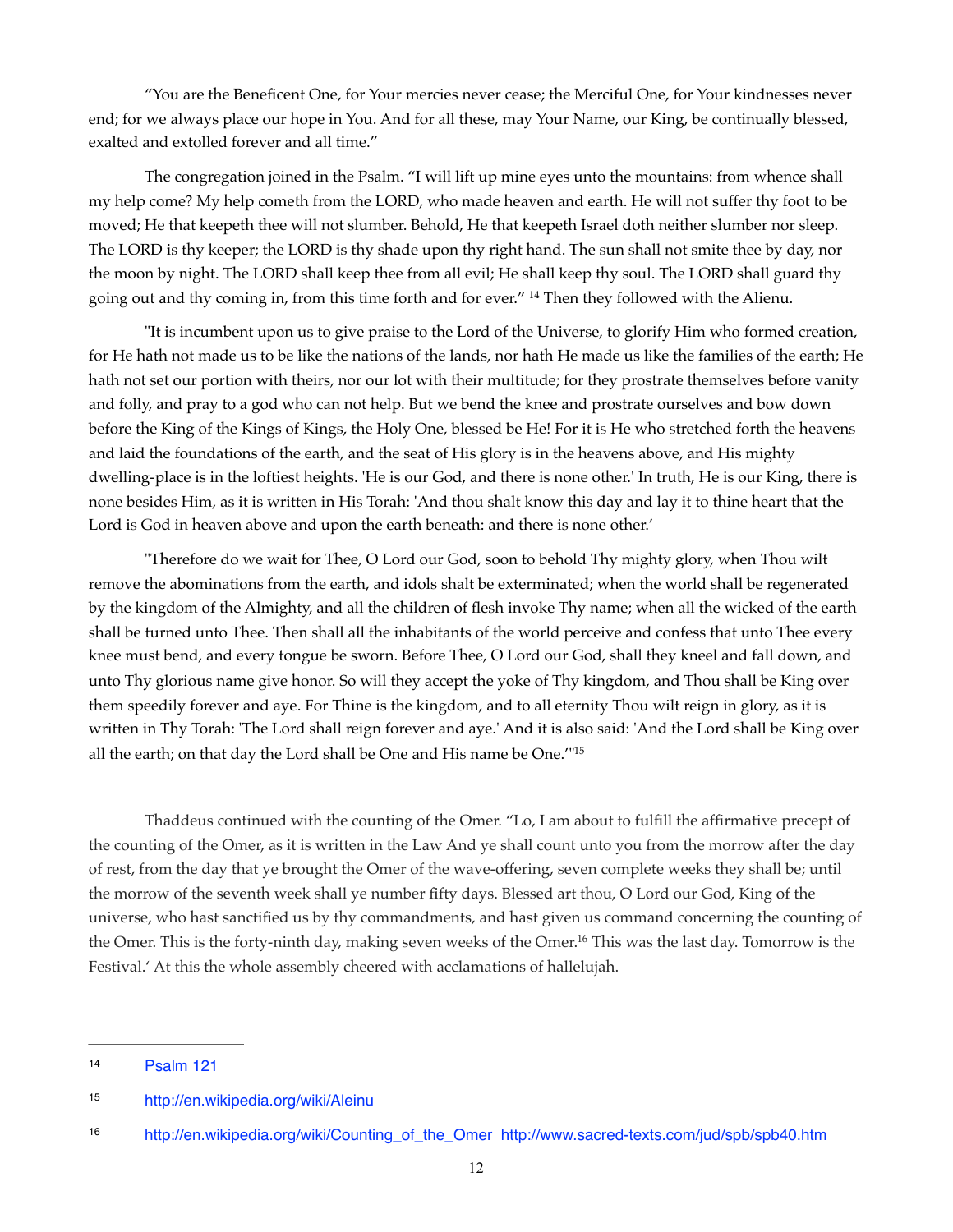"You are the Beneficent One, for Your mercies never cease; the Merciful One, for Your kindnesses never end; for we always place our hope in You. And for all these, may Your Name, our King, be continually blessed, exalted and extolled forever and all time."

The congregation joined in the Psalm. "I will lift up mine eyes unto the mountains: from whence shall my help come? My help cometh from the LORD, who made heaven and earth. He will not suffer thy foot to be moved; He that keepeth thee will not slumber. Behold, He that keepeth Israel doth neither slumber nor sleep. The LORD is thy keeper; the LORD is thy shade upon thy right hand. The sun shall not smite thee by day, nor the moon by night. The LORD shall keep thee from all evil; He shall keep thy soul. The LORD shall guard thy goingout and thy coming in, from this time forth and for ever." <sup>[14](#page-11-0)</sup> Then they followed with the Alienu.

<span id="page-11-3"></span>"It is incumbent upon us to give praise to the Lord of the Universe, to glorify Him who formed creation, for He hath not made us to be like the nations of the lands, nor hath He made us like the families of the earth; He hath not set our portion with theirs, nor our lot with their multitude; for they prostrate themselves before vanity and folly, and pray to a god who can not help. But we bend the knee and prostrate ourselves and bow down before the King of the Kings of Kings, the Holy One, blessed be He! For it is He who stretched forth the heavens and laid the foundations of the earth, and the seat of His glory is in the heavens above, and His mighty dwelling-place is in the loftiest heights. 'He is our God, and there is none other.' In truth, He is our King, there is none besides Him, as it is written in His Torah: 'And thou shalt know this day and lay it to thine heart that the Lord is God in heaven above and upon the earth beneath: and there is none other.'

"Therefore do we wait for Thee, O Lord our God, soon to behold Thy mighty glory, when Thou wilt remove the abominations from the earth, and idols shalt be exterminated; when the world shall be regenerated by the kingdom of the Almighty, and all the children of flesh invoke Thy name; when all the wicked of the earth shall be turned unto Thee. Then shall all the inhabitants of the world perceive and confess that unto Thee every knee must bend, and every tongue be sworn. Before Thee, O Lord our God, shall they kneel and fall down, and unto Thy glorious name give honor. So will they accept the yoke of Thy kingdom, and Thou shall be King over them speedily forever and aye. For Thine is the kingdom, and to all eternity Thou wilt reign in glory, as it is written in Thy Torah: 'The Lord shall reign forever and aye.' And it is also said: 'And the Lord shall be King over all the earth; on that day the Lord shall be One and His name be One.["](#page-11-1)<sup>[15](#page-11-1)</sup>

<span id="page-11-5"></span><span id="page-11-4"></span>Thaddeus continued with the counting of the Omer. "Lo, I am about to fulfill the affirmative precept of the counting of the Omer, as it is written in the Law And ye shall count unto you from the morrow after the day of rest, from the day that ye brought the Omer of the wave-offering, seven complete weeks they shall be; until the morrow of the seventh week shall ye number fifty days. Blessed art thou, O Lord our God, King of the universe, who hast sanctified us by thy commandments, and hast given us command concerning the counting of the Omer[.](#page-11-2) This is the forty-ninth day, making seven weeks of the Omer.<sup>[16](#page-11-2)</sup> This was the last day. Tomorrow is the Festival.' At this the whole assembly cheered with acclamations of hallelujah.

<span id="page-11-0"></span> $14$  Psalm 121

<span id="page-11-1"></span><http://en.wikipedia.org/wiki/Aleinu> [15](#page-11-4)

<span id="page-11-2"></span>[http://en.wikipedia.org/wiki/Counting\\_of\\_the\\_Omer](http://en.wikipedia.org/wiki/Counting_of_the_Omer) <http://www.sacred-texts.com/jud/spb/spb40.htm> [16](#page-11-5)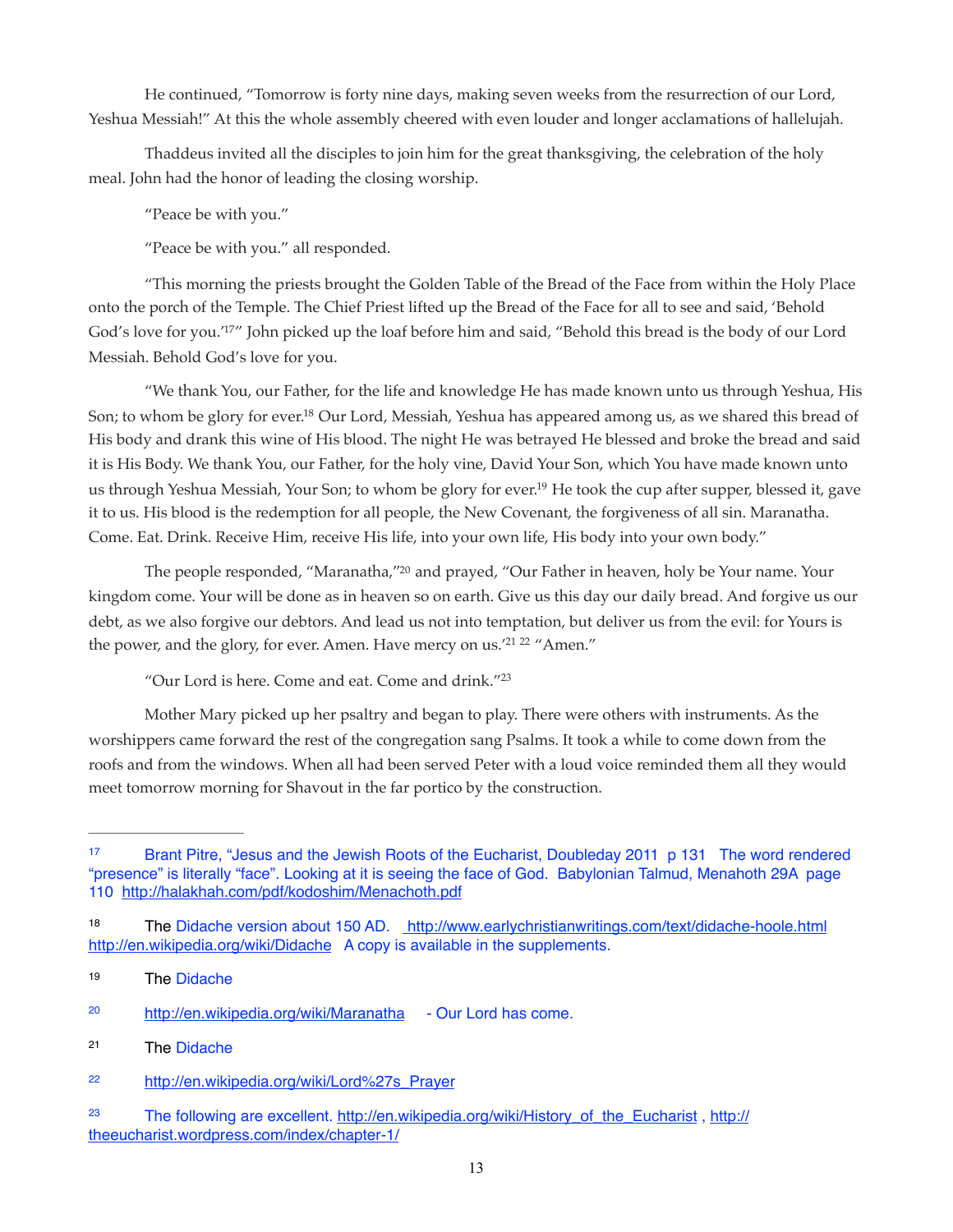He continued, "Tomorrow is forty nine days, making seven weeks from the resurrection of our Lord, Yeshua Messiah!" At this the whole assembly cheered with even louder and longer acclamations of hallelujah.

Thaddeus invited all the disciples to join him for the great thanksgiving, the celebration of the holy meal. John had the honor of leading the closing worship.

"Peace be with you."

<span id="page-12-7"></span>"Peace be with you." all responded.

"This morning the priests brought the Golden Table of the Bread of the Face from within the Holy Place onto the porch of the Temple. The Chief Priest lifted up the Bread of the Face for all to see and said, 'Behold God's love for you.'<sup>[17](#page-12-0)</sup>'' John picked up the loaf before him and said, "Behold this bread is the body of our Lord Messiah. Behold God's love for you.

<span id="page-12-8"></span>"We thank You, our Father, for the life and knowledge He has made known unto us through Yeshua, His Son; to whom be glory for ever[.](#page-12-1)<sup>[18](#page-12-1)</sup> Our Lord, Messiah, Yeshua has appeared among us, as we shared this bread of His body and drank this wine of His blood. The night He was betrayed He blessed and broke the bread and said it is His Body. We thank You, our Father, for the holy vine, David Your Son, which You have made known unto us through Yeshua Messiah, Your Son; to whom be glory for ever[.](#page-12-2)<sup>[19](#page-12-2)</sup> He took the cup after supper, blessed it, gave it to us. His blood is the redemption for all people, the New Covenant, the forgiveness of all sin. Maranatha. Come. Eat. Drink. Receive Him, receive His life, into your own life, His body into your own body."

The people responded, ["](#page-12-3)Maranatha,"<sup>[20](#page-12-3)</sup> and prayed, "Our Father in heaven, holy be Your name. Your kingdom come. Your will be done as in heaven so on earth. Give us this day our daily bread. And forgive us our debt, as we also forgive our debtors. And lead us not into temptation, but deliver us from the evil: for Yours is the power, and the glory, for ever. Amen. Have mercy on us.<sup>['](#page-12-4)[21](#page-12-4) 22</sup> "Amen."

<span id="page-12-13"></span><span id="page-12-12"></span><span id="page-12-11"></span><span id="page-12-10"></span><span id="page-12-9"></span>"Our Lord is here. Come and eat. Come and drink.[" 23](#page-12-6)

Mother Mary picked up her psaltry and began to play. There were others with instruments. As the worshippers came forward the rest of the congregation sang Psalms. It took a while to come down from the roofs and from the windows. When all had been served Peter with a loud voice reminded them all they would meet tomorrow morning for Shavout in the far portico by the construction.

<span id="page-12-0"></span><sup>&</sup>lt;sup>[17](#page-12-7)</sup> Brant Pitre, "Jesus and the Jewish Roots of the Eucharist, Doubleday 2011 p 131 The word rendered "presence" is literally "face". Looking at it is seeing the face of God. Babylonian Talmud, Menahoth 29A page 110 <http://halakhah.com/pdf/kodoshim/Menachoth.pdf>

<span id="page-12-1"></span><sup>18</sup> The Didache version about 150 AD. <http://www.earlychristianwritings.com/text/didache-hoole.html> <http://en.wikipedia.org/wiki/Didache> A copy is available in the supplements.

<span id="page-12-2"></span><sup>&</sup>lt;sup>[19](#page-12-9)</sup> The Didache

<span id="page-12-3"></span> $20$  <http://en.wikipedia.org/wiki/Maranatha> - Our Lord has come.

<span id="page-12-4"></span>[<sup>21</sup>](#page-12-11) The Didache

<span id="page-12-5"></span>[http://en.wikipedia.org/wiki/Lord%27s\\_Prayer](http://en.wikipedia.org/wiki/Lord%27s_Prayer) [22](#page-12-12)

<span id="page-12-6"></span><sup>&</sup>lt;sup>23</sup> The following are excellent. [http://en.wikipedia.org/wiki/History\\_of\\_the\\_Eucharist](http://en.wikipedia.org/wiki/History_of_the_Eucharist) , [http://](http://theeucharist.wordpress.com/index/chapter-1/) [theeucharist.wordpress.com/index/chapter-1/](http://theeucharist.wordpress.com/index/chapter-1/)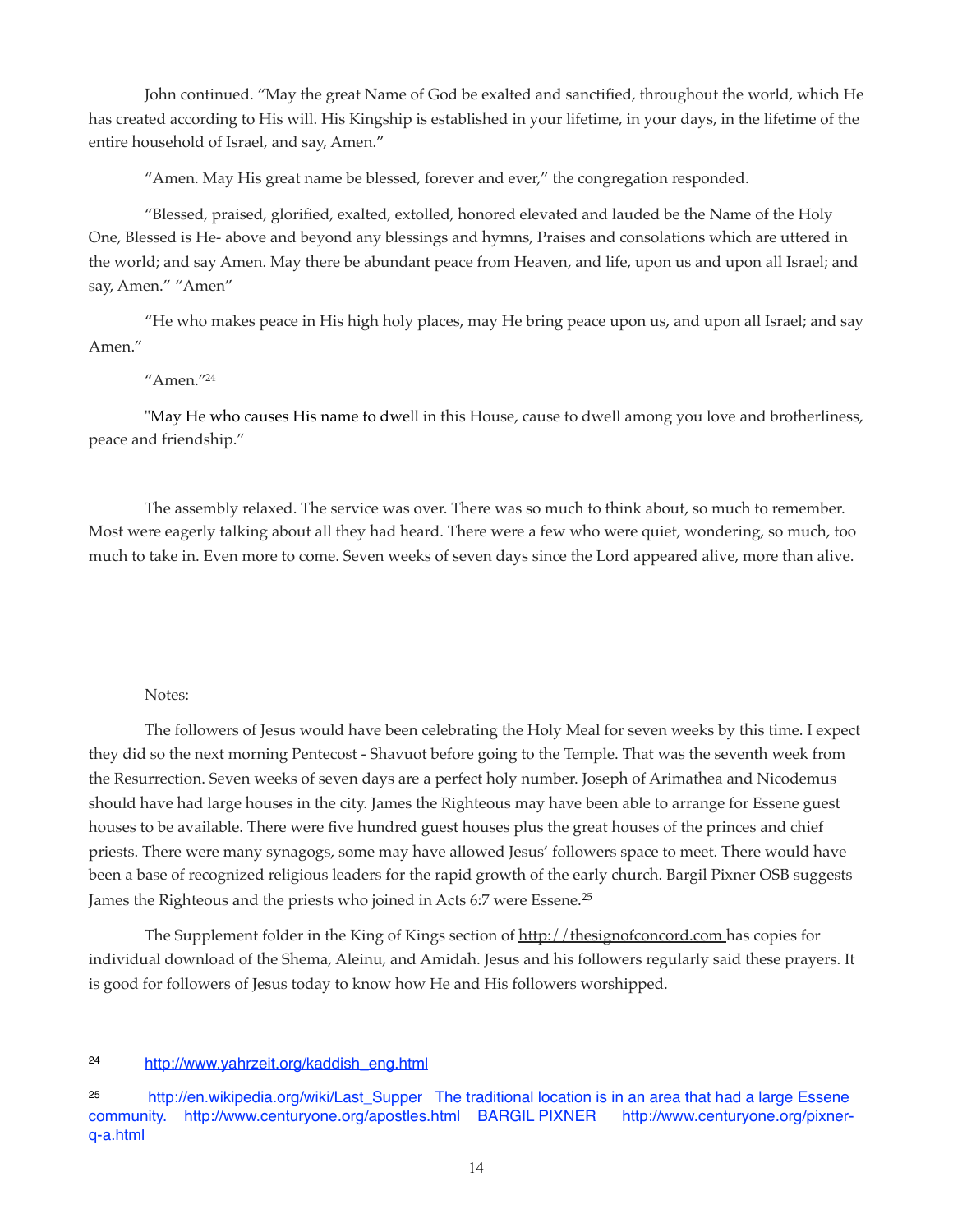John continued. "May the great Name of God be exalted and sanctified, throughout the world, which He has created according to His will. His Kingship is established in your lifetime, in your days, in the lifetime of the entire household of Israel, and say, Amen."

"Amen. May His great name be blessed, forever and ever," the congregation responded.

"Blessed, praised, glorified, exalted, extolled, honored elevated and lauded be the Name of the Holy One, Blessed is He- above and beyond any blessings and hymns, Praises and consolations which are uttered in the world; and say Amen. May there be abundant peace from Heaven, and life, upon us and upon all Israel; and say, Amen." "Amen"

"He who makes peace in His high holy places, may He bring peace upon us, and upon all Israel; and say Amen."

## <span id="page-13-2"></span>"Amen.["24](#page-13-0)

"May He who causes His name to dwell in this House, cause to dwell among you love and brotherliness, peace and friendship."

The assembly relaxed. The service was over. There was so much to think about, so much to remember. Most were eagerly talking about all they had heard. There were a few who were quiet, wondering, so much, too much to take in. Even more to come. Seven weeks of seven days since the Lord appeared alive, more than alive.

# <span id="page-13-3"></span>Notes:

The followers of Jesus would have been celebrating the Holy Meal for seven weeks by this time. I expect they did so the next morning Pentecost - Shavuot before going to the Temple. That was the seventh week from the Resurrection. Seven weeks of seven days are a perfect holy number. Joseph of Arimathea and Nicodemus should have had large houses in the city. James the Righteous may have been able to arrange for Essene guest houses to be available. There were five hundred guest houses plus the great houses of the princes and chief priests. There were many synagogs, some may have allowed Jesus' followers space to meet. There would have been a base of recognized religious leaders for the rapid growth of the early church. Bargil Pixner OSB suggests James the Righteous and the priests who joined in Acts 6:7 were Essene. [25](#page-13-1)

The Supplement folder in the King of Kings section of<http://thesignofconcord.com> has copies for individual download of the Shema, Aleinu, and Amidah. Jesus and his followers regularly said these prayers. It is good for followers of Jesus today to know how He and His followers worshipped.

<span id="page-13-0"></span>[http://www.yahrzeit.org/kaddish\\_eng.html](http://www.yahrzeit.org/kaddish_eng.html) [24](#page-13-2)

<span id="page-13-1"></span><sup>&</sup>lt;sup>25</sup> [http://en.wikipedia.org/wiki/Last\\_Supper](http://en.wikipedia.org/wiki/Last_Supper) The traditional location is in an area that had a large Essene community. <http://www.centuryone.org/apostles.html>BARGIL PIXNER http://www.centuryone.org/pixnerq-a.html